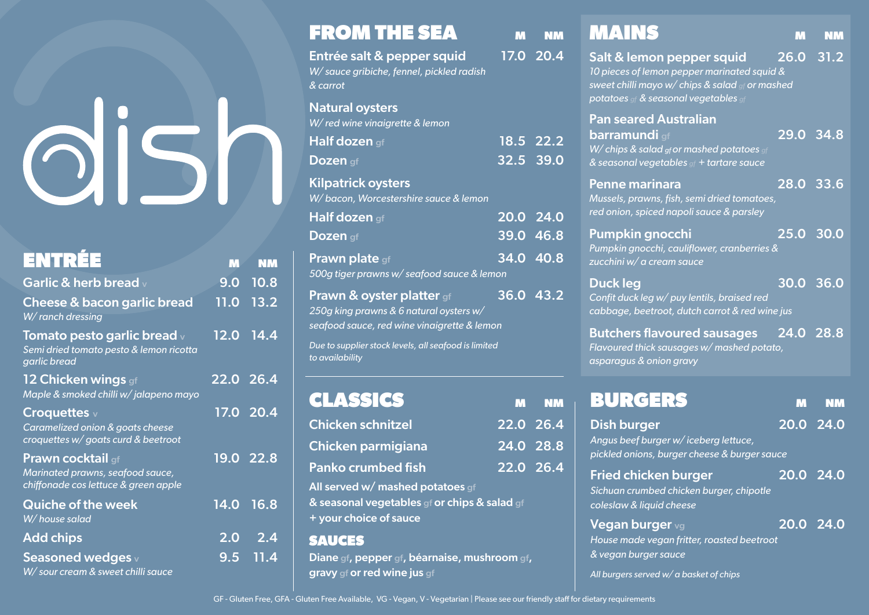| <b>ENTRÉE</b>                                                                                        | M                | <b>NM</b>              |
|------------------------------------------------------------------------------------------------------|------------------|------------------------|
| Garlic & herb bread v                                                                                | 9.0              | 10.8                   |
| Cheese & bacon garlic bread<br>W/ranch dressing                                                      | 11.0             | 13.2                   |
| Tomato pesto garlic bread $\vee$<br>Semi dried tomato pesto & lemon ricotta<br>garlic bread          |                  | 12.0 14.4              |
| 12 Chicken wings gf<br>Maple & smoked chilli w/jalapeno mayo                                         | $22.0$ 26.4      |                        |
| Croquettes $\vee$<br>Caramelized onion & goats cheese<br>croquettes w/ goats curd & beetroot         |                  | $\overline{17.0}$ 20.4 |
| <b>Prawn cocktail gf</b><br>Marinated prawns, seafood sauce,<br>chiffonade cos lettuce & green apple |                  | 19.0 22.8              |
| <b>Quiche of the week</b><br>W/house salad                                                           | 14.0             | 16.8                   |
| <b>Add chips</b>                                                                                     | 2.0 <sub>1</sub> | 2.4                    |
| <b>Seasoned wedges</b> v<br>W/ sour cream & sweet chilli sauce                                       |                  | 9.5 11.4               |

| <b>FROM THE SEA</b>                                                                                                            | M | <b>NM</b>   |
|--------------------------------------------------------------------------------------------------------------------------------|---|-------------|
| Entrée salt & pepper squid<br>W/ sauce gribiche, fennel, pickled radish<br>& carrot                                            |   | 17.0 20.4   |
| <b>Natural oysters</b><br>W/red wine vinaigrette & lemon                                                                       |   |             |
| Half dozen qf                                                                                                                  |   | 18.5 22.2   |
| Dozen gf                                                                                                                       |   | $32.5$ 39.0 |
| <b>Kilpatrick oysters</b><br>W/bacon, Worcestershire sauce & lemon                                                             |   |             |
| Half dozen gf                                                                                                                  |   | 20.0 24.0   |
| Dozen gf                                                                                                                       |   | 39.0 46.8   |
| <b>Prawn plate</b> gf<br>500g tiger prawns w/ seafood sauce & lemon                                                            |   | 34.0 40.8   |
| <b>Prawn &amp; oyster platter</b> gf<br>250g king prawns & 6 natural oysters w/<br>seafood sauce, red wine vinaigrette & lemon |   | 36.0 43.2   |
| Due to supplier stock levels, all seafood is limited<br>to availability                                                        |   |             |
| <b>CLASSICS</b>                                                                                                                | M | <b>NM</b>   |
| <b>Chicken schnitzel</b>                                                                                                       |   | 22.0 26.4   |
| <b>Chicken parmigiana</b>                                                                                                      |   | 24.0 28.8   |
| <b>Panko crumbed fish</b>                                                                                                      |   | $22.0$ 26.4 |
| All served w/ mashed potatoes gf<br>& seasonal vegetables gf or chips & salad gf<br>+ your choice of sauce                     |   |             |

#### SAUCES

Diane gf, pepper gf, béarnaise, mushroom gf, gravy gf or red wine jus gf

| M<br>$26.0$ 31.2<br>Salt & lemon pepper squid<br>10 pieces of lemon pepper marinated squid &<br>sweet chilli mayo w/ chips & salad of or mashed<br>potatoes of & seasonal vegetables of<br><b>Pan seared Australian</b><br>29.0<br><b>barramundi</b> gf<br>W/ chips & salad gf or mashed potatoes gf<br>& seasonal vegetables of + tartare sauce<br>$\overline{28.0}$ 33.6<br>Penne marinara<br>Mussels, prawns, fish, semi dried tomatoes,<br>red onion, spiced napoli sauce & parsley<br>25.0 30.0<br>Pumpkin gnocchi<br>Pumpkin gnocchi, cauliflower, cranberries &<br>zucchini w/ a cream sauce<br><b>Duck leg</b><br>30.0<br>Confit duck leg w/ puy lentils, braised red<br>cabbage, beetroot, dutch carrot & red wine jus<br>24.0 28.8<br><b>Butchers flavoured sausages</b><br>Flavoured thick sausages w/ mashed potato,<br>asparagus & onion gravy |              |           |
|-------------------------------------------------------------------------------------------------------------------------------------------------------------------------------------------------------------------------------------------------------------------------------------------------------------------------------------------------------------------------------------------------------------------------------------------------------------------------------------------------------------------------------------------------------------------------------------------------------------------------------------------------------------------------------------------------------------------------------------------------------------------------------------------------------------------------------------------------------------|--------------|-----------|
|                                                                                                                                                                                                                                                                                                                                                                                                                                                                                                                                                                                                                                                                                                                                                                                                                                                             | <b>MAINS</b> | <b>NM</b> |
|                                                                                                                                                                                                                                                                                                                                                                                                                                                                                                                                                                                                                                                                                                                                                                                                                                                             |              |           |
|                                                                                                                                                                                                                                                                                                                                                                                                                                                                                                                                                                                                                                                                                                                                                                                                                                                             |              | 34.8      |
|                                                                                                                                                                                                                                                                                                                                                                                                                                                                                                                                                                                                                                                                                                                                                                                                                                                             |              |           |
|                                                                                                                                                                                                                                                                                                                                                                                                                                                                                                                                                                                                                                                                                                                                                                                                                                                             |              |           |
|                                                                                                                                                                                                                                                                                                                                                                                                                                                                                                                                                                                                                                                                                                                                                                                                                                                             |              | 36.0      |
|                                                                                                                                                                                                                                                                                                                                                                                                                                                                                                                                                                                                                                                                                                                                                                                                                                                             |              |           |

| BURGERS                                                                                                    |                        |  |
|------------------------------------------------------------------------------------------------------------|------------------------|--|
| <b>Dish burger</b><br>Angus beef burger w/iceberg lettuce,<br>pickled onions, burger cheese & burger sauce | $\overline{20.0}$ 24.0 |  |
| <b>Fried chicken burger</b><br>Sichuan crumbed chicken burger, chipotle<br>coleslaw & liquid cheese        | $\overline{20.0}$ 24.0 |  |
| <b>Vegan burger</b> vg<br>House made vegan fritter, roasted beetroot<br>& vegan burger sauce               | 20.0 24.0              |  |
| All burgers served w/ a basket of chips                                                                    |                        |  |

GF - Gluten Free, GFA - Gluten Free Available, VG - Vegan, V - Vegetarian | Please see our friendly staff for dietary requirements